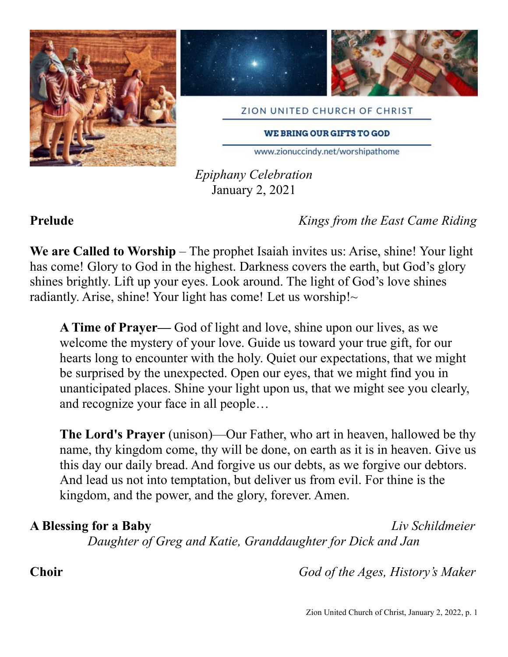





ZION UNITED CHURCH OF CHRIST

**WE BRING OUR GIFTS TO GOD** 

www.zionuccindy.net/worshipathome

*Epiphany Celebration* January 2, 2021

**Prelude** *Kings from the East Came Riding*

**We are Called to Worship** – The prophet Isaiah invites us: Arise, shine! Your light has come! Glory to God in the highest. Darkness covers the earth, but God's glory shines brightly. Lift up your eyes. Look around. The light of God's love shines radiantly. Arise, shine! Your light has come! Let us worship! $\sim$ 

**A Time of Prayer—** God of light and love, shine upon our lives, as we welcome the mystery of your love. Guide us toward your true gift, for our hearts long to encounter with the holy. Quiet our expectations, that we might be surprised by the unexpected. Open our eyes, that we might find you in unanticipated places. Shine your light upon us, that we might see you clearly, and recognize your face in all people…

**The Lord's Prayer** (unison)—Our Father, who art in heaven, hallowed be thy name, thy kingdom come, thy will be done, on earth as it is in heaven. Give us this day our daily bread. And forgive us our debts, as we forgive our debtors. And lead us not into temptation, but deliver us from evil. For thine is the kingdom, and the power, and the glory, forever. Amen.

# **A Blessing for a Baby** *Liv Schildmeier*

*Daughter of Greg and Katie, Granddaughter for Dick and Jan*

**Choir** *God of the Ages, History's Maker*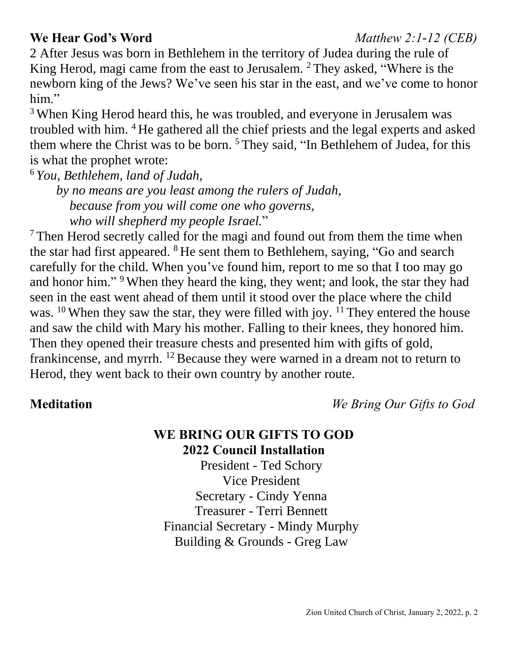# **We Hear God's Word** *Matthew 2:1-12 (CEB)*

2 After Jesus was born in Bethlehem in the territory of Judea during the rule of King Herod, magi came from the east to Jerusalem. <sup>2</sup> They asked, "Where is the newborn king of the Jews? We've seen his star in the east, and we've come to honor him."

<sup>3</sup> When King Herod heard this, he was troubled, and everyone in Jerusalem was troubled with him. <sup>4</sup> He gathered all the chief priests and the legal experts and asked them where the Christ was to be born. <sup>5</sup> They said, "In Bethlehem of Judea, for this is what the prophet wrote:

<sup>6</sup> *You, Bethlehem, land of Judah,*

 *by no means are you least among the rulers of Judah, because from you will come one who governs, who will shepherd my people Israel.*"

 $<sup>7</sup>$ Then Herod secretly called for the magi and found out from them the time when</sup> the star had first appeared. <sup>8</sup> He sent them to Bethlehem, saying, "Go and search carefully for the child. When you've found him, report to me so that I too may go and honor him."<sup>9</sup> When they heard the king, they went; and look, the star they had seen in the east went ahead of them until it stood over the place where the child was. <sup>10</sup> When they saw the star, they were filled with joy. <sup>11</sup> They entered the house and saw the child with Mary his mother. Falling to their knees, they honored him. Then they opened their treasure chests and presented him with gifts of gold, frankincense, and myrrh. <sup>12</sup> Because they were warned in a dream not to return to Herod, they went back to their own country by another route.

**Meditation** *We Bring Our Gifts to God*

### **WE BRING OUR GIFTS TO GOD 2022 Council Installation**

President - Ted Schory Vice President Secretary - Cindy Yenna Treasurer - Terri Bennett Financial Secretary - Mindy Murphy Building & Grounds - Greg Law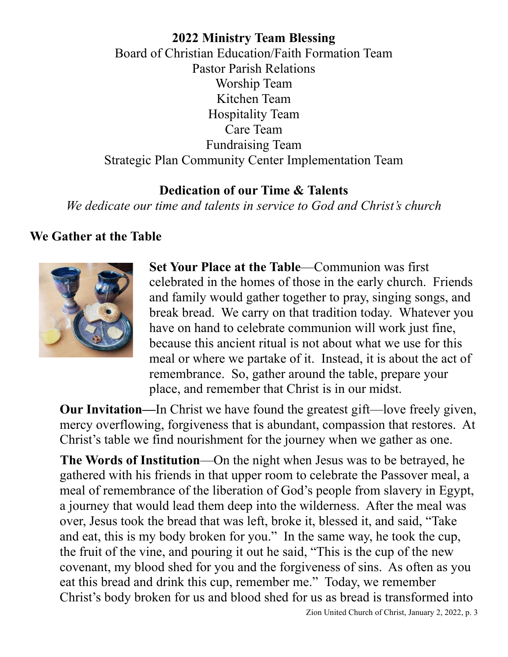**2022 Ministry Team Blessing** Board of Christian Education/Faith Formation Team Pastor Parish Relations Worship Team Kitchen Team Hospitality Team Care Team Fundraising Team Strategic Plan Community Center Implementation Team

## **Dedication of our Time & Talents**

*We dedicate our time and talents in service to God and Christ's church*

## **We Gather at the Table**



**Set Your Place at the Table**—Communion was first celebrated in the homes of those in the early church. Friends and family would gather together to pray, singing songs, and break bread. We carry on that tradition today. Whatever you have on hand to celebrate communion will work just fine, because this ancient ritual is not about what we use for this meal or where we partake of it. Instead, it is about the act of remembrance. So, gather around the table, prepare your place, and remember that Christ is in our midst.

**Our Invitation—**In Christ we have found the greatest gift—love freely given, mercy overflowing, forgiveness that is abundant, compassion that restores. At Christ's table we find nourishment for the journey when we gather as one.

**The Words of Institution**—On the night when Jesus was to be betrayed, he gathered with his friends in that upper room to celebrate the Passover meal, a meal of remembrance of the liberation of God's people from slavery in Egypt, a journey that would lead them deep into the wilderness. After the meal was over, Jesus took the bread that was left, broke it, blessed it, and said, "Take and eat, this is my body broken for you." In the same way, he took the cup, the fruit of the vine, and pouring it out he said, "This is the cup of the new covenant, my blood shed for you and the forgiveness of sins. As often as you eat this bread and drink this cup, remember me." Today, we remember Christ's body broken for us and blood shed for us as bread is transformed into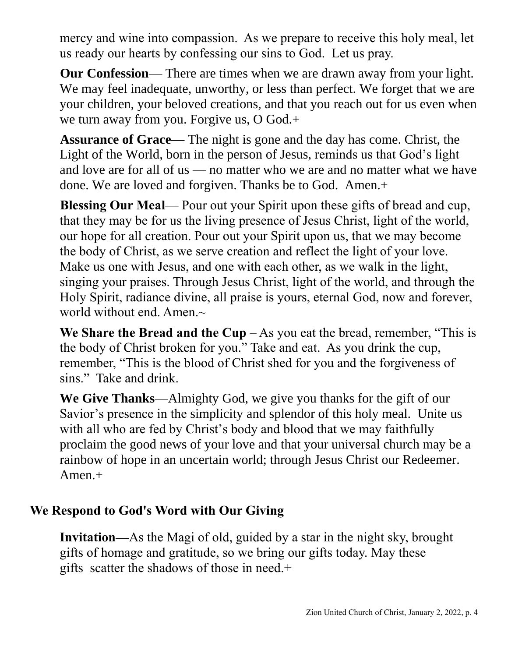mercy and wine into compassion. As we prepare to receive this holy meal, let us ready our hearts by confessing our sins to God. Let us pray.

**Our Confession**— There are times when we are drawn away from your light. We may feel inadequate, unworthy, or less than perfect. We forget that we are your children, your beloved creations, and that you reach out for us even when we turn away from you. Forgive us, O God.+

**Assurance of Grace—** The night is gone and the day has come. Christ, the Light of the World, born in the person of Jesus, reminds us that God's light and love are for all of us — no matter who we are and no matter what we have done. We are loved and forgiven. Thanks be to God. Amen.+

**Blessing Our Meal**— Pour out your Spirit upon these gifts of bread and cup, that they may be for us the living presence of Jesus Christ, light of the world, our hope for all creation. Pour out your Spirit upon us, that we may become the body of Christ, as we serve creation and reflect the light of your love. Make us one with Jesus, and one with each other, as we walk in the light, singing your praises. Through Jesus Christ, light of the world, and through the Holy Spirit, radiance divine, all praise is yours, eternal God, now and forever, world without end. Amen. $\sim$ 

**We Share the Bread and the Cup**  $-$  As you eat the bread, remember, "This is the body of Christ broken for you." Take and eat. As you drink the cup, remember, "This is the blood of Christ shed for you and the forgiveness of sins." Take and drink.

**We Give Thanks**—Almighty God, we give you thanks for the gift of our Savior's presence in the simplicity and splendor of this holy meal. Unite us with all who are fed by Christ's body and blood that we may faithfully proclaim the good news of your love and that your universal church may be a rainbow of hope in an uncertain world; through Jesus Christ our Redeemer. Amen.+

# **We Respond to God's Word with Our Giving**

**Invitation—**As the Magi of old, guided by a star in the night sky, brought gifts of homage and gratitude, so we bring our gifts today. May these gifts scatter the shadows of those in need.+